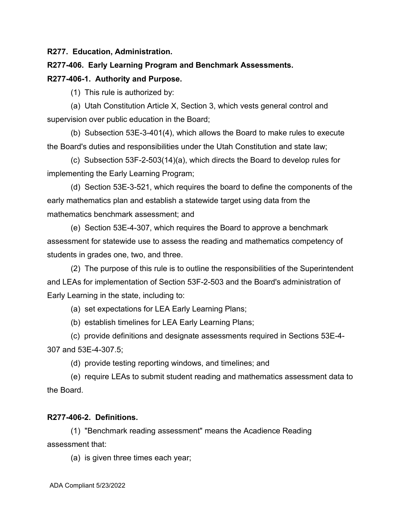**R277. Education, Administration.**

**R277-406. Early Learning Program and Benchmark Assessments. R277-406-1. Authority and Purpose.**

(1) This rule is authorized by:

(a) Utah Constitution Article X, Section 3, which vests general control and supervision over public education in the Board;

(b) Subsection 53E-3-401(4), which allows the Board to make rules to execute the Board's duties and responsibilities under the Utah Constitution and state law;

(c) Subsection 53F-2-503(14)(a), which directs the Board to develop rules for implementing the Early Learning Program;

(d) Section 53E-3-521, which requires the board to define the components of the early mathematics plan and establish a statewide target using data from the mathematics benchmark assessment; and

(e) Section 53E-4-307, which requires the Board to approve a benchmark assessment for statewide use to assess the reading and mathematics competency of students in grades one, two, and three.

(2) The purpose of this rule is to outline the responsibilities of the Superintendent and LEAs for implementation of Section 53F-2-503 and the Board's administration of Early Learning in the state, including to:

(a) set expectations for LEA Early Learning Plans;

(b) establish timelines for LEA Early Learning Plans;

(c) provide definitions and designate assessments required in Sections 53E-4- 307 and 53E-4-307.5;

(d) provide testing reporting windows, and timelines; and

(e) require LEAs to submit student reading and mathematics assessment data to the Board.

## **R277-406-2. Definitions.**

(1) "Benchmark reading assessment" means the Acadience Reading assessment that:

(a) is given three times each year;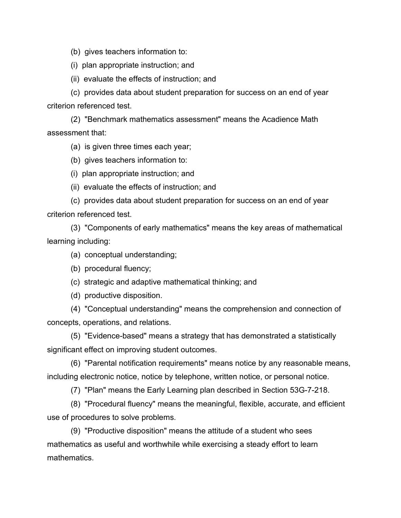(b) gives teachers information to:

(i) plan appropriate instruction; and

(ii) evaluate the effects of instruction; and

(c) provides data about student preparation for success on an end of year criterion referenced test.

(2) "Benchmark mathematics assessment" means the Acadience Math assessment that:

(a) is given three times each year;

(b) gives teachers information to:

(i) plan appropriate instruction; and

(ii) evaluate the effects of instruction; and

(c) provides data about student preparation for success on an end of year criterion referenced test.

(3) "Components of early mathematics" means the key areas of mathematical learning including:

(a) conceptual understanding;

(b) procedural fluency;

(c) strategic and adaptive mathematical thinking; and

(d) productive disposition.

(4) "Conceptual understanding" means the comprehension and connection of concepts, operations, and relations.

(5) "Evidence-based" means a strategy that has demonstrated a statistically significant effect on improving student outcomes.

(6) "Parental notification requirements" means notice by any reasonable means, including electronic notice, notice by telephone, written notice, or personal notice.

(7) "Plan" means the Early Learning plan described in Section 53G-7-218.

(8) "Procedural fluency" means the meaningful, flexible, accurate, and efficient use of procedures to solve problems.

(9) "Productive disposition" means the attitude of a student who sees mathematics as useful and worthwhile while exercising a steady effort to learn mathematics.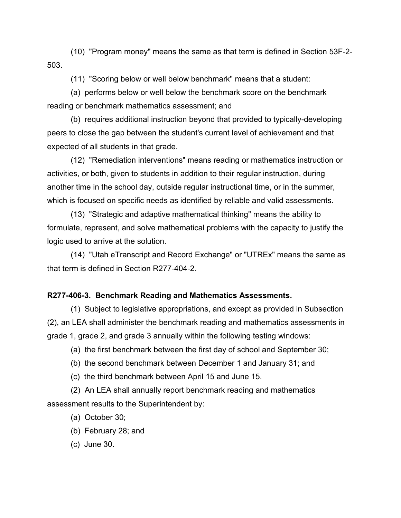(10) "Program money" means the same as that term is defined in Section 53F-2- 503.

(11) "Scoring below or well below benchmark" means that a student:

(a) performs below or well below the benchmark score on the benchmark reading or benchmark mathematics assessment; and

(b) requires additional instruction beyond that provided to typically-developing peers to close the gap between the student's current level of achievement and that expected of all students in that grade.

(12) "Remediation interventions" means reading or mathematics instruction or activities, or both, given to students in addition to their regular instruction, during another time in the school day, outside regular instructional time, or in the summer, which is focused on specific needs as identified by reliable and valid assessments.

(13) "Strategic and adaptive mathematical thinking" means the ability to formulate, represent, and solve mathematical problems with the capacity to justify the logic used to arrive at the solution.

(14) "Utah eTranscript and Record Exchange" or "UTREx" means the same as that term is defined in Section R277-404-2.

## **R277-406-3. Benchmark Reading and Mathematics Assessments.**

(1) Subject to legislative appropriations, and except as provided in Subsection (2), an LEA shall administer the benchmark reading and mathematics assessments in grade 1, grade 2, and grade 3 annually within the following testing windows:

(a) the first benchmark between the first day of school and September 30;

(b) the second benchmark between December 1 and January 31; and

(c) the third benchmark between April 15 and June 15.

(2) An LEA shall annually report benchmark reading and mathematics assessment results to the Superintendent by:

(a) October 30;

(b) February 28; and

(c) June 30.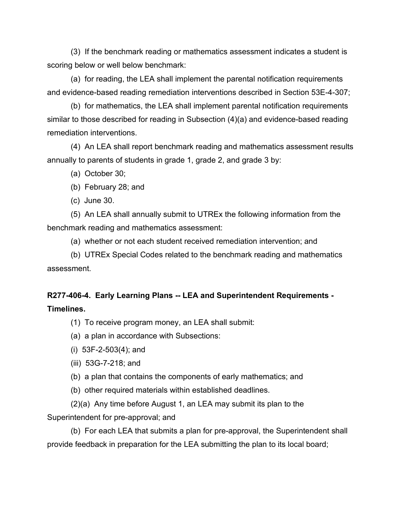(3) If the benchmark reading or mathematics assessment indicates a student is scoring below or well below benchmark:

(a) for reading, the LEA shall implement the parental notification requirements and evidence-based reading remediation interventions described in Section 53E-4-307;

(b) for mathematics, the LEA shall implement parental notification requirements similar to those described for reading in Subsection (4)(a) and evidence-based reading remediation interventions.

(4) An LEA shall report benchmark reading and mathematics assessment results annually to parents of students in grade 1, grade 2, and grade 3 by:

(a) October 30;

(b) February 28; and

(c) June 30.

(5) An LEA shall annually submit to UTREx the following information from the benchmark reading and mathematics assessment:

(a) whether or not each student received remediation intervention; and

(b) UTREx Special Codes related to the benchmark reading and mathematics assessment.

## **R277-406-4. Early Learning Plans -- LEA and Superintendent Requirements - Timelines.**

(1) To receive program money, an LEA shall submit:

(a) a plan in accordance with Subsections:

(i) 53F-2-503(4); and

(iii) 53G-7-218; and

(b) a plan that contains the components of early mathematics; and

(b) other required materials within established deadlines.

(2)(a) Any time before August 1, an LEA may submit its plan to the Superintendent for pre-approval; and

(b) For each LEA that submits a plan for pre-approval, the Superintendent shall provide feedback in preparation for the LEA submitting the plan to its local board;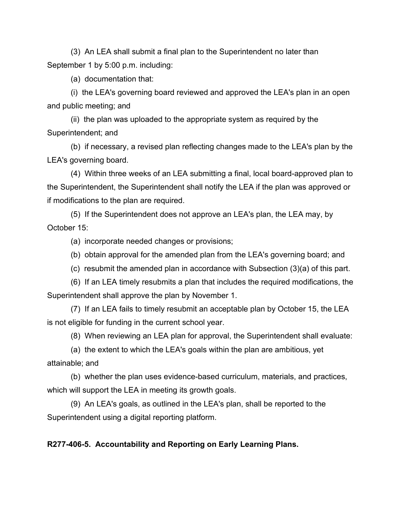(3) An LEA shall submit a final plan to the Superintendent no later than September 1 by 5:00 p.m. including:

(a) documentation that:

(i) the LEA's governing board reviewed and approved the LEA's plan in an open and public meeting; and

(ii) the plan was uploaded to the appropriate system as required by the Superintendent; and

(b) if necessary, a revised plan reflecting changes made to the LEA's plan by the LEA's governing board.

(4) Within three weeks of an LEA submitting a final, local board-approved plan to the Superintendent, the Superintendent shall notify the LEA if the plan was approved or if modifications to the plan are required.

(5) If the Superintendent does not approve an LEA's plan, the LEA may, by October 15:

(a) incorporate needed changes or provisions;

(b) obtain approval for the amended plan from the LEA's governing board; and

(c) resubmit the amended plan in accordance with Subsection (3)(a) of this part.

(6) If an LEA timely resubmits a plan that includes the required modifications, the Superintendent shall approve the plan by November 1.

(7) If an LEA fails to timely resubmit an acceptable plan by October 15, the LEA is not eligible for funding in the current school year.

(8) When reviewing an LEA plan for approval, the Superintendent shall evaluate:

(a) the extent to which the LEA's goals within the plan are ambitious, yet attainable; and

(b) whether the plan uses evidence-based curriculum, materials, and practices, which will support the LEA in meeting its growth goals.

(9) An LEA's goals, as outlined in the LEA's plan, shall be reported to the Superintendent using a digital reporting platform.

## **R277-406-5. Accountability and Reporting on Early Learning Plans.**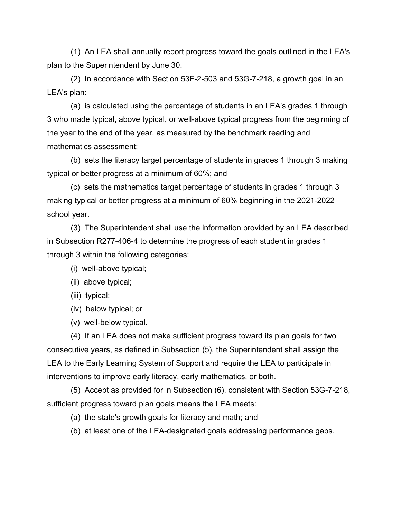(1) An LEA shall annually report progress toward the goals outlined in the LEA's plan to the Superintendent by June 30.

(2) In accordance with Section 53F-2-503 and 53G-7-218, a growth goal in an LEA's plan:

(a) is calculated using the percentage of students in an LEA's grades 1 through 3 who made typical, above typical, or well-above typical progress from the beginning of the year to the end of the year, as measured by the benchmark reading and mathematics assessment;

(b) sets the literacy target percentage of students in grades 1 through 3 making typical or better progress at a minimum of 60%; and

(c) sets the mathematics target percentage of students in grades 1 through 3 making typical or better progress at a minimum of 60% beginning in the 2021-2022 school year.

(3) The Superintendent shall use the information provided by an LEA described in Subsection R277-406-4 to determine the progress of each student in grades 1 through 3 within the following categories:

- (i) well-above typical;
- (ii) above typical;
- (iii) typical;
- (iv) below typical; or
- (v) well-below typical.

(4) If an LEA does not make sufficient progress toward its plan goals for two consecutive years, as defined in Subsection (5), the Superintendent shall assign the LEA to the Early Learning System of Support and require the LEA to participate in interventions to improve early literacy, early mathematics, or both.

(5) Accept as provided for in Subsection (6), consistent with Section 53G-7-218, sufficient progress toward plan goals means the LEA meets:

- (a) the state's growth goals for literacy and math; and
- (b) at least one of the LEA-designated goals addressing performance gaps.